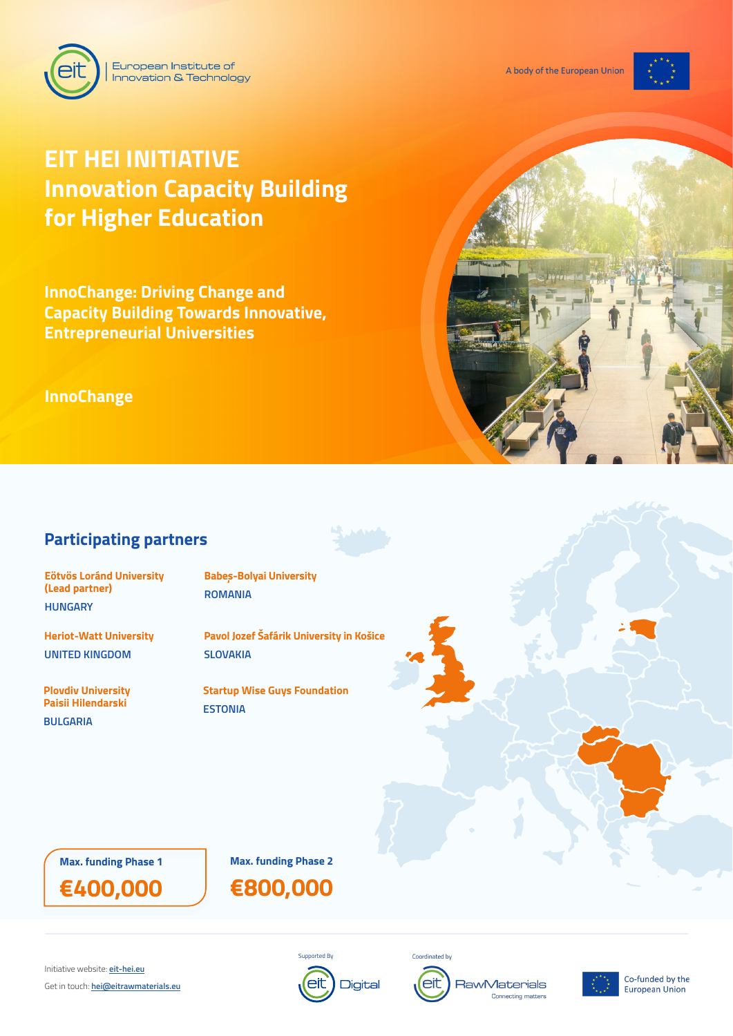

# **EIT HEI INITIATIVE Innovation Capacity Building for Higher Education**

European Institute of

Innovation & Technology

**InnoChange: Driving Change and Capacity Building Towards Innovative, Entrepreneurial Universities**

**InnoChange**



# **Participating partners**

**Eötvös Loránd University (Lead partner) HUNGARY**

**Heriot-Watt University UNITED KINGDOM**

**Plovdiv University Paisii Hilendarski** 

**BULGARIA**

**Babeș-Bolyai University ROMANIA**

**Pavol Jozef Šafárik University in Košice SLOVAKIA**

**Startup Wise Guys Foundation ESTONIA**

**Max. funding Phase 1 Max. funding Phase 2**